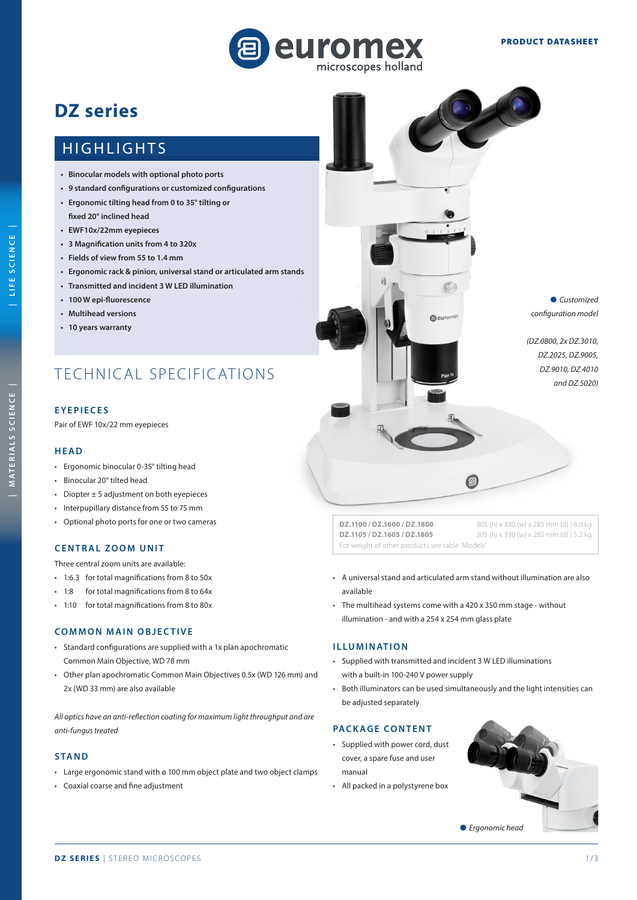

# **DZ series**

## **HIGHLIGHTS**

- **Binocular models with optional photo ports**
- **• 9 standard configurations or customized configurations**
- **Ergonomic tilting head from 0 to 35° tilting or fixed 20° inclined head**
- **• EWF10x/22mm eyepieces**
- **3 Magnification units from 4 to 320x**
- **Fields of view from 55 to 1.4 mm**
- **Ergonomic rack & pinion, universal stand or articulated arm stands**
- **• Transmitted and incident 3 W LED illumination**
- **• 100 W epi-fluorescence**
- **• Multihead versions**
- **• 10 years warranty**

## TECHNICAL SPECIFICATIONS

## **EYEPIECES**

Pair of EWF 10x/22 mm eyepieces

#### **HEAD**

- Ergonomic binocular 0-35° tilting head
- Binocular 20° tilted head
- Diopter  $\pm$  5 adjustment on both eyepieces
- Interpupillary distance from 55 to 75 mm
- Optional photo ports for one or two cameras

#### **CENTRAL ZOOM UNIT**

Three central zoom units are available:

- 1:6.3 for total magnifications from 8 to 50x
- 1:8 for total magnifications from 8 to 64x
- 1:10 for total magnifications from 8 to 80x

## **COMMON MAIN OBJECTIVE**

- Standard configurations are supplied with a 1x plan apochromatic Common Main Objective, WD 78 mm
- Other plan apochromatic Common Main Objectives 0.5x (WD 126 mm) and 2x (WD 33 mm) are also available

*All optics have an anti-reflection coating for maximum light throughput and are anti-fungus treated*

## **STAND**

- Large ergonomic stand with ø 100 mm object plate and two object clamps
- Coaxial coarse and fine adjustment



**DZ.1100 / DZ.1600 / DZ.1800** 305 (h) x 330 (w) x 285 mm (d) | 6.0 kg **DZ.1105 / DZ.1605 / DZ.1805** 305 (h) x 330 (w) x 285 mm (d) | 5.2 kg For weight of other products see table 'Models'

- A universal stand and articulated arm stand without illumination are also available
- The multihead systems come with a 420 x 350 mm stage without illumination - and with a 254 x 254 mm glass plate

#### **ILLUMINATION**

- Supplied with transmitted and incident 3 W LED illuminations with a built-in 100-240 V power supply
- Both illuminators can be used simultaneously and the light intensities can be adjusted separately

#### **PACKAGE CONTENT**

- Supplied with power cord, dust cover, a spare fuse and user manual
- All packed in a polystyrene box



LIFE SCIENCE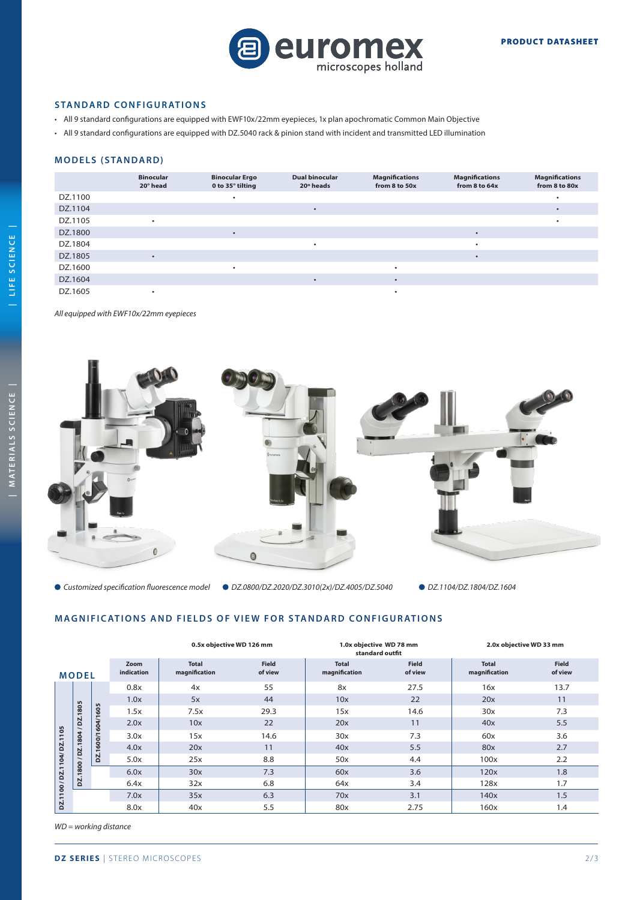

### **STANDARD CONFIGURATIONS**

- All 9 standard configurations are equipped with EWF10x/22mm eyepieces, 1x plan apochromatic Common Main Objective
- All 9 standard configurations are equipped with DZ.5040 rack & pinion stand with incident and transmitted LED illumination

## **MODELS (STANDARD)**

|         | <b>Binocular</b><br>20° head | <b>Binocular Ergo</b><br>0 to 35° tilting | <b>Dual binocular</b><br>20° heads | <b>Magnifications</b><br>from 8 to 50x | <b>Magnifications</b><br>from 8 to 64x | <b>Magnifications</b><br>from 8 to 80x |
|---------|------------------------------|-------------------------------------------|------------------------------------|----------------------------------------|----------------------------------------|----------------------------------------|
| DZ.1100 |                              |                                           |                                    |                                        |                                        |                                        |
| DZ.1104 |                              |                                           | $\bullet$                          |                                        |                                        |                                        |
| DZ.1105 |                              |                                           |                                    |                                        |                                        |                                        |
| DZ.1800 |                              | ٠                                         |                                    |                                        |                                        |                                        |
| DZ.1804 |                              |                                           | ٠                                  |                                        |                                        |                                        |
| DZ.1805 |                              |                                           |                                    |                                        |                                        |                                        |
| DZ.1600 |                              | ٠                                         |                                    |                                        |                                        |                                        |
| DZ.1604 |                              |                                           |                                    |                                        |                                        |                                        |
| DZ.1605 |                              |                                           |                                    |                                        |                                        |                                        |

*All equipped with EWF10x/22mm eyepieces*



 *DZ.0800/DZ.2020/DZ.3010(2x)/DZ.4005/DZ.5040 DZ.1104/DZ.1804/DZ.1604 Customized specification fluorescence model*

## **MAGNIFICATIONS AND FIELDS OF VIEW FOR STANDARD CONFIGURATIONS**

|                            |              |                   | 0.5x objective WD 126 mm |                               | 1.0x objective WD 78 mm<br>standard outfit |                               | 2.0x objective WD 33 mm |                               |                         |
|----------------------------|--------------|-------------------|--------------------------|-------------------------------|--------------------------------------------|-------------------------------|-------------------------|-------------------------------|-------------------------|
|                            | <b>MODEL</b> |                   | Zoom<br>indication       | <b>Total</b><br>magnification | <b>Field</b><br>of view                    | <b>Total</b><br>magnification | <b>Field</b><br>of view | <b>Total</b><br>magnification | <b>Field</b><br>of view |
|                            |              |                   | 0.8x                     | 4x                            | 55                                         | 8x                            | 27.5                    | 16x                           | 13.7                    |
|                            |              |                   | 1.0x                     | 5x                            | 44                                         | 10x                           | 22                      | 20x                           | 11                      |
|                            | .1805        |                   | 1.5x                     | 7.5x                          | 29.3                                       | 15x                           | 14.6                    | 30x                           | 7.3                     |
|                            | <b>DZ.</b>   |                   | 2.0x                     | 10x                           | 22                                         | 20x                           | 11                      | 40x                           | 5.5                     |
|                            | 1804/        | DZ.1600/1604/1605 | 3.0x                     | 15x                           | 14.6                                       | 30x                           | 7.3                     | 60x                           | 3.6                     |
|                            | DZ.          |                   | 4.0x                     | 20x                           | 11                                         | 40x                           | 5.5                     | 80x                           | 2.7                     |
|                            |              |                   | 5.0x                     | 25x                           | 8.8                                        | 50x                           | 4.4                     | 100x                          | 2.2                     |
| DZ.1100 / DZ.1104/ DZ.1105 | 1800 /       |                   | 6.0x                     | 30x                           | 7.3                                        | 60x                           | 3.6                     | 120x                          | 1.8                     |
|                            | <u>ps</u>    |                   | 6.4x                     | 32x                           | 6.8                                        | 64x                           | 3.4                     | 128x                          | 1.7                     |
|                            |              |                   | 7.0x                     | 35x                           | 6.3                                        | 70x                           | 3.1                     | 140x                          | 1.5                     |
|                            |              |                   | 8.0x                     | 40x                           | 5.5                                        | 80x                           | 2.75                    | 160x                          | 1.4                     |

*WD = working distance*